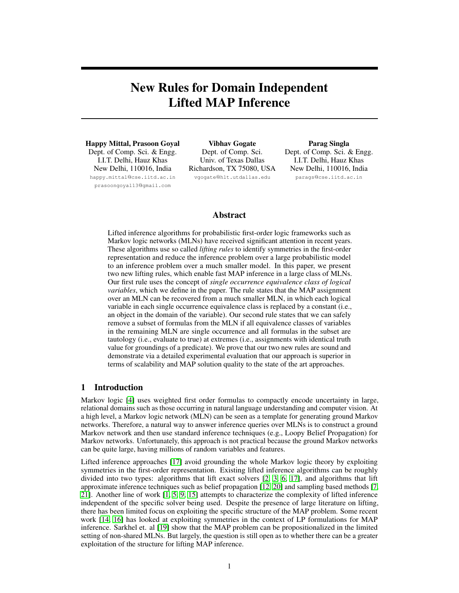# New Rules for Domain Independent Lifted MAP Inference

Happy Mittal, Prasoon Goyal Dept. of Comp. Sci. & Engg. I.I.T. Delhi, Hauz Khas New Delhi, 110016, India happy.mittal@cse.iitd.ac.in

prasoongoyal13@gmail.com

Vibhav Gogate Dept. of Comp. Sci. Univ. of Texas Dallas Richardson, TX 75080, USA vgogate@hlt.utdallas.edu

Parag Singla Dept. of Comp. Sci. & Engg. I.I.T. Delhi, Hauz Khas New Delhi, 110016, India parags@cse.iitd.ac.in

## Abstract

Lifted inference algorithms for probabilistic first-order logic frameworks such as Markov logic networks (MLNs) have received significant attention in recent years. These algorithms use so called *lifting rules* to identify symmetries in the first-order representation and reduce the inference problem over a large probabilistic model to an inference problem over a much smaller model. In this paper, we present two new lifting rules, which enable fast MAP inference in a large class of MLNs. Our first rule uses the concept of *single occurrence equivalence class of logical variables*, which we define in the paper. The rule states that the MAP assignment over an MLN can be recovered from a much smaller MLN, in which each logical variable in each single occurrence equivalence class is replaced by a constant (i.e., an object in the domain of the variable). Our second rule states that we can safely remove a subset of formulas from the MLN if all equivalence classes of variables in the remaining MLN are single occurrence and all formulas in the subset are tautology (i.e., evaluate to true) at extremes (i.e., assignments with identical truth value for groundings of a predicate). We prove that our two new rules are sound and demonstrate via a detailed experimental evaluation that our approach is superior in terms of scalability and MAP solution quality to the state of the art approaches.

# 1 Introduction

Markov logic [4] uses weighted first order formulas to compactly encode uncertainty in large, relational domains such as those occurring in natural language understanding and computer vision. At a high level, a Markov logic network (MLN) can be seen as a template for generating ground Markov networks. Therefore, a natural way to answer inference queries over MLNs is to construct a ground Markov network and then use standard inference techniques (e.g., Loopy Belief Propagation) for Markov networks. Unfortunately, this approach is not practical because the ground Markov networks can be quite large, having millions of random variables and features.

Lifted inference approaches [17] avoid grounding the whole Markov logic theory by exploiting symmetries in the first-order representation. Existing lifted inference algorithms can be roughly divided into two types: algorithms that lift exact solvers [2, 3, 6, 17], and algorithms that lift approximate inference techniques such as belief propagation [12, 20] and sampling based methods [7, 21]. Another line of work [1, 5, 9, 15] attempts to characterize the complexity of lifted inference independent of the specific solver being used. Despite the presence of large literature on lifting, there has been limited focus on exploiting the specific structure of the MAP problem. Some recent work [14, 16] has looked at exploiting symmetries in the context of LP formulations for MAP inference. Sarkhel et. al [19] show that the MAP problem can be propositionalized in the limited setting of non-shared MLNs. But largely, the question is still open as to whether there can be a greater exploitation of the structure for lifting MAP inference.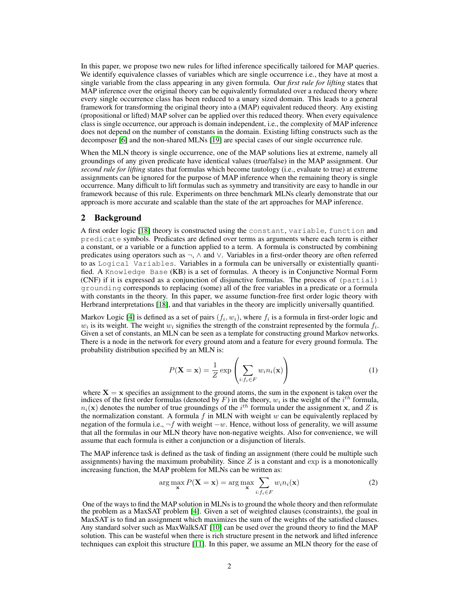In this paper, we propose two new rules for lifted inference specifically tailored for MAP queries. We identify equivalence classes of variables which are single occurrence i.e., they have at most a single variable from the class appearing in any given formula. Our *first rule for lifting* states that MAP inference over the original theory can be equivalently formulated over a reduced theory where every single occurrence class has been reduced to a unary sized domain. This leads to a general framework for transforming the original theory into a (MAP) equivalent reduced theory. Any existing (propositional or lifted) MAP solver can be applied over this reduced theory. When every equivalence class is single occurrence, our approach is domain independent, i.e., the complexity of MAP inference does not depend on the number of constants in the domain. Existing lifting constructs such as the decomposer [6] and the non-shared MLNs [19] are special cases of our single occurrence rule.

When the MLN theory is single occurrence, one of the MAP solutions lies at extreme, namely all groundings of any given predicate have identical values (true/false) in the MAP assignment. Our *second rule for lifting* states that formulas which become tautology (i.e., evaluate to true) at extreme assignments can be ignored for the purpose of MAP inference when the remaining theory is single occurrence. Many difficult to lift formulas such as symmetry and transitivity are easy to handle in our framework because of this rule. Experiments on three benchmark MLNs clearly demonstrate that our approach is more accurate and scalable than the state of the art approaches for MAP inference.

## 2 Background

A first order logic [18] theory is constructed using the constant, variable, function and predicate symbols. Predicates are defined over terms as arguments where each term is either a constant, or a variable or a function applied to a term. A formula is constructed by combining predicates using operators such as ¬, ∧ and ∨. Variables in a first-order theory are often referred to as Logical Variables. Variables in a formula can be universally or existentially quantified. A Knowledge Base (KB) is a set of formulas. A theory is in Conjunctive Normal Form (CNF) if it is expressed as a conjunction of disjunctive formulas. The process of (partial) grounding corresponds to replacing (some) all of the free variables in a predicate or a formula with constants in the theory. In this paper, we assume function-free first order logic theory with Herbrand interpretations [18], and that variables in the theory are implicitly universally quantified.

Markov Logic [4] is defined as a set of pairs  $(f_i, w_i)$ , where  $f_i$  is a formula in first-order logic and  $w_i$  is its weight. The weight  $w_i$  signifies the strength of the constraint represented by the formula  $f_i$ . Given a set of constants, an MLN can be seen as a template for constructing ground Markov networks. There is a node in the network for every ground atom and a feature for every ground formula. The probability distribution specified by an MLN is:

$$
P(\mathbf{X} = \mathbf{x}) = \frac{1}{Z} \exp\left(\sum_{i: f_i \in F} w_i n_i(\mathbf{x})\right)
$$
(1)

where  $X = x$  specifies an assignment to the ground atoms, the sum in the exponent is taken over the indices of the first order formulas (denoted by F) in the theory,  $w_i$  is the weight of the  $i^{th}$  formula,  $n_i(\mathbf{x})$  denotes the number of true groundings of the  $i^{th}$  formula under the assignment x, and Z is the normalization constant. A formula f in MLN with weight  $w$  can be equivalently replaced by negation of the formula i.e.,  $\neg f$  with weight  $-w$ . Hence, without loss of generality, we will assume that all the formulas in our MLN theory have non-negative weights. Also for convenience, we will assume that each formula is either a conjunction or a disjunction of literals.

The MAP inference task is defined as the task of finding an assignment (there could be multiple such assignments) having the maximum probability. Since  $Z$  is a constant and exp is a monotonically increasing function, the MAP problem for MLNs can be written as:

$$
\arg\max_{\mathbf{x}} P(\mathbf{X} = \mathbf{x}) = \arg\max_{\mathbf{x}} \sum_{i:f_i \in F} w_i n_i(\mathbf{x})
$$
\n(2)

One of the ways to find the MAP solution in MLNs is to ground the whole theory and then reformulate the problem as a MaxSAT problem [4]. Given a set of weighted clauses (constraints), the goal in MaxSAT is to find an assignment which maximizes the sum of the weights of the satisfied clauses. Any standard solver such as MaxWalkSAT [10] can be used over the ground theory to find the MAP solution. This can be wasteful when there is rich structure present in the network and lifted inference techniques can exploit this structure [11]. In this paper, we assume an MLN theory for the ease of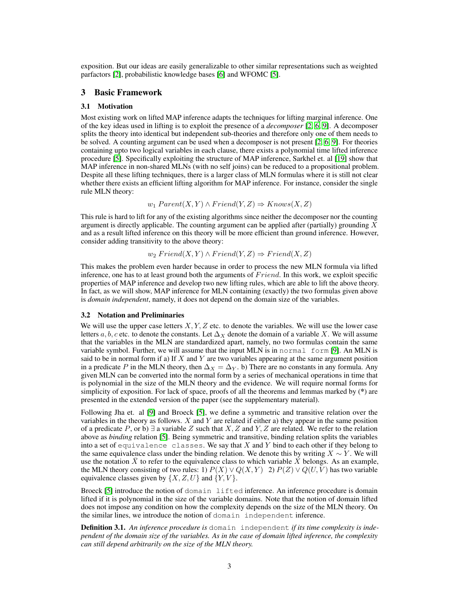exposition. But our ideas are easily generalizable to other similar representations such as weighted parfactors [2], probabilistic knowledge bases [6] and WFOMC [5].

## 3 Basic Framework

#### 3.1 Motivation

Most existing work on lifted MAP inference adapts the techniques for lifting marginal inference. One of the key ideas used in lifting is to exploit the presence of a *decomposer* [2, 6, 9]. A decomposer splits the theory into identical but independent sub-theories and therefore only one of them needs to be solved. A counting argument can be used when a decomposer is not present [2, 6, 9]. For theories containing upto two logical variables in each clause, there exists a polynomial time lifted inference procedure [5]. Specifically exploiting the structure of MAP inference, Sarkhel et. al [19] show that MAP inference in non-shared MLNs (with no self joins) can be reduced to a propositional problem. Despite all these lifting techniques, there is a larger class of MLN formulas where it is still not clear whether there exists an efficient lifting algorithm for MAP inference. For instance, consider the single rule MLN theory:

$$
w_1 \text{ Parent}(X, Y) \land \text{friend}(Y, Z) \Rightarrow Knows(X, Z)
$$

This rule is hard to lift for any of the existing algorithms since neither the decomposer nor the counting argument is directly applicable. The counting argument can be applied after (partially) grounding  $X$ and as a result lifted inference on this theory will be more efficient than ground inference. However, consider adding transitivity to the above theory:

$$
w_2\,Friend(X, Y) \land Friedman(X, Z) \Rightarrow Friedman(X, Z)
$$

This makes the problem even harder because in order to process the new MLN formula via lifted inference, one has to at least ground both the arguments of  $Friend$ . In this work, we exploit specific properties of MAP inference and develop two new lifting rules, which are able to lift the above theory. In fact, as we will show, MAP inference for MLN containing (exactly) the two formulas given above is *domain independent*, namely, it does not depend on the domain size of the variables.

#### 3.2 Notation and Preliminaries

We will use the upper case letters  $X, Y, Z$  etc. to denote the variables. We will use the lower case letters a, b, c etc. to denote the constants. Let  $\Delta_X$  denote the domain of a variable X. We will assume that the variables in the MLN are standardized apart, namely, no two formulas contain the same variable symbol. Further, we will assume that the input MLN is in normal form [9]. An MLN is said to be in normal form if a) If  $X$  and  $Y$  are two variables appearing at the same argument position in a predicate P in the MLN theory, then  $\Delta_X = \Delta_Y$ . b) There are no constants in any formula. Any given MLN can be converted into the normal form by a series of mechanical operations in time that is polynomial in the size of the MLN theory and the evidence. We will require normal forms for simplicity of exposition. For lack of space, proofs of all the theorems and lemmas marked by (\*) are presented in the extended version of the paper (see the supplementary material).

Following Jha et. al [9] and Broeck [5], we define a symmetric and transitive relation over the variables in the theory as follows.  $X$  and  $Y$  are related if either a) they appear in the same position of a predicate P, or b)  $\exists$  a variable Z such that X, Z and Y, Z are related. We refer to the relation above as *binding* relation [5]. Being symmetric and transitive, binding relation splits the variables into a set of equivalence classes. We say that  $X$  and  $Y$  bind to each other if they belong to the same equivalence class under the binding relation. We denote this by writing  $X \sim Y$ . We will use the notation  $\bar{X}$  to refer to the equivalence class to which variable X belongs. As an example, the MLN theory consisting of two rules: 1)  $P(X) \vee Q(X, Y)$  2)  $P(Z) \vee Q(U, V)$  has two variable equivalence classes given by  $\{X, Z, U\}$  and  $\{Y, V\}$ .

Broeck [5] introduce the notion of domain lifted inference. An inference procedure is domain lifted if it is polynomial in the size of the variable domains. Note that the notion of domain lifted does not impose any condition on how the complexity depends on the size of the MLN theory. On the similar lines, we introduce the notion of domain independent inference.

Definition 3.1. *An inference procedure is* domain independent *if its time complexity is independent of the domain size of the variables. As in the case of domain lifted inference, the complexity can still depend arbitrarily on the size of the MLN theory.*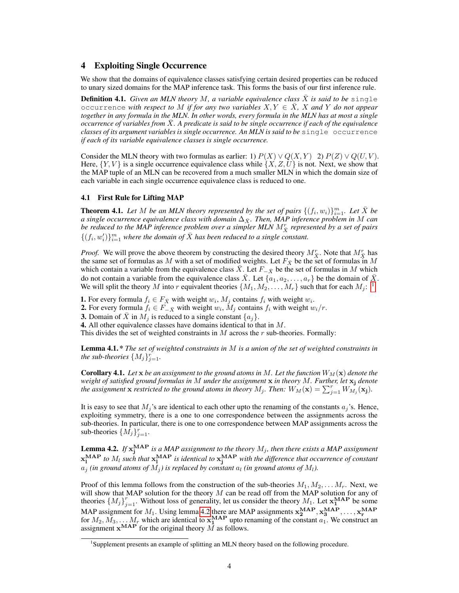## 4 Exploiting Single Occurrence

We show that the domains of equivalence classes satisfying certain desired properties can be reduced to unary sized domains for the MAP inference task. This forms the basis of our first inference rule.

**Definition 4.1.** *Given an MLN theory M, a variable equivalence class X is said to be* single occurrence *with respect to* M *if for any two variables*  $X, Y \in \overline{X}$ , X and Y do not appear *together in any formula in the MLN. In other words, every formula in the MLN has at most a single occurrence of variables from* X¯*. A predicate is said to be single occurrence if each of the equivalence classes of its argument variables is single occurrence. An MLN is said to be* single occurrence *if each of its variable equivalence classes is single occurrence.*

Consider the MLN theory with two formulas as earlier: 1)  $P(X) \vee Q(X, Y) 2$   $P(Z) \vee Q(U, V)$ . Here,  $\{Y, V\}$  is a single occurrence equivalence class while  $\{X, Z, U\}$  is not. Next, we show that the MAP tuple of an MLN can be recovered from a much smaller MLN in which the domain size of each variable in each single occurrence equivalence class is reduced to one.

#### 4.1 First Rule for Lifting MAP

**Theorem 4.1.** Let M be an MLN theory represented by the set of pairs  $\{(f_i, w_i)\}_{i=1}^m$ . Let  $\bar{X}$  be *a* single occurrence equivalence class with domain  $\Delta_{\bar{X}}$ . Then, MAP inference problem in M can be reduced to the MAP inference problem over a simpler MLN  $M_{\bar{X}}^{r}$  represented by a set of pairs  $\{(f_i, w'_i)\}_{i=1}^m$  where the domain of  $\bar{X}$  has been reduced to a single constant.

*Proof.* We will prove the above theorem by constructing the desired theory  $M_{\overline{X}}^r$ . Note that  $M_{\overline{X}}^r$  has the same set of formulas as M with a set of modified weights. Let  $F_{\bar{X}}$  be the set of formulas in M which contain a variable from the equivalence class X. Let  $F_{\overline{X}}$  be the set of formulas in M which do not contain a variable from the equivalence class X. Let  $\{a_1, a_2, \ldots, a_r\}$  be the domain of X. We will split the theory M into r equivalent theories  $\{M_1, M_2, \ldots, M_r\}$  such that for each  $M_j$ : <sup>1</sup>

**1.** For every formula  $f_i \in F_{\bar{X}}$  with weight  $w_i$ ,  $M_j$  contains  $f_i$  with weight  $w_i$ .

**2.** For every formula  $f_i \in F_{-\bar{X}}$  with weight  $w_i$ ,  $M_j$  contains  $f_i$  with weight  $w_i/r$ .

**3.** Domain of  $\bar{X}$  in  $M_i$  is reduced to a single constant  $\{a_i\}$ .

4. All other equivalence classes have domains identical to that in M.

This divides the set of weighted constraints in  $M$  across the  $r$  sub-theories. Formally:

Lemma 4.1. \* *The set of weighted constraints in* M *is a union of the set of weighted constraints in the sub-theories*  $\{M_j\}_{j=1}^r$ .

**Corollary 4.1.** Let x be an assignment to the ground atoms in M. Let the function  $W_M(\mathbf{x})$  denote the *weight of satisfied ground formulas in* M *under the assignment* x *in theory* M*. Further, let* x<sup>j</sup> *denote the assignment* **x** *restricted to the ground atoms in theory*  $M_j$ *. Then:*  $W_M(\mathbf{x}) = \sum_{j=1}^r W_{M_j}(\mathbf{x_j})$ *.* 

It is easy to see that  $M_j$ 's are identical to each other upto the renaming of the constants  $a_j$ 's. Hence, exploiting symmetry, there is a one to one correspondence between the assignments across the sub-theories. In particular, there is one to one correspondence between MAP assignments across the sub-theories  $\{\tilde{M}_j\}_{j=1}^r$ .

**Lemma 4.2.** If  $x_j^{MAP}$  is a MAP assignment to the theory  $M_j$ , then there exists a MAP assignment  $\mathbf{x_i^{MAP}}$  *to*  $M_l$  *such that*  $\mathbf{x_i^{MAP}}$  *is identical to*  $\mathbf{x_j^{MAP}}$  *with the difference that occurrence of constant*  $a_j$  *(in ground atoms of*  $M_j$ *) is replaced by constant*  $a_l$  *(in ground atoms of*  $M_l$ *).* 

Proof of this lemma follows from the construction of the sub-theories  $M_1, M_2, \ldots M_r$ . Next, we will show that MAP solution for the theory  $M$  can be read off from the MAP solution for any of theories  $\{M_j\}_{j=1}^r$ . Without loss of generality, let us consider the theory  $M_1$ . Let  $\mathbf{x}_1^{MAP}$  be some MAP assignment for  $M_1$ . Using lemma 4.2 there are MAP assignments  $\mathbf{x_2^{MAP}}, \mathbf{x_3^{MAP}}, \dots, \mathbf{x_r^{MAP}}$  for  $M_2, M_3, \dots, M_r$  which are identical to  $\mathbf{x_1^{MAP}}$  upto renaming of the constant  $a_1$ . We construct an assignment  $\mathbf{x}^{\text{MAP}}$  for the original theory  $\overline{M}$  as follows.

<sup>&</sup>lt;sup>1</sup>Supplement presents an example of splitting an MLN theory based on the following procedure.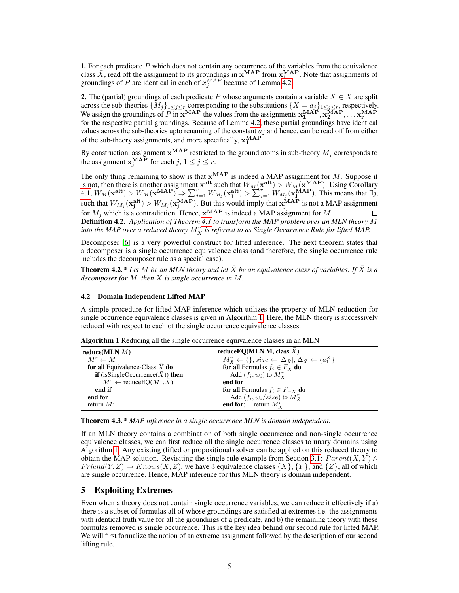**1.** For each predicate  $P$  which does not contain any occurrence of the variables from the equivalence class  $\bar{X}$ , read off the assignment to its groundings in  $x^{MAP}$  from  $x_1^{MAP}$ . Note that assignments of groundings of P are identical in each of  $x_j^{MAP}$  because of Lemma 4.2.

**2.** The (partial) groundings of each predicate P whose arguments contain a variable  $X \in X$  are split across the sub-theories  $\{M_j\}_{1\leq j\leq r}$  corresponding to the substitutions  $\{X = a_j\}_{1\leq j\leq r}$ , respectively. We assign the groundings of P in  $x^{MAP}$  the values from the assignments  $x_1^{MAP}, x_2^{MAP}, \ldots x_r^{MAP}$ for the respective partial groundings. Because of Lemma 4.2, these partial groundings have identical values across the sub-theories upto renaming of the constant  $a_j$  and hence, can be read off from either of the sub-theory assignments, and more specifically,  $x_1^{\text{MAP}}$ .

By construction, assignment  $\mathbf{x}^{\mathbf{MAP}}$  restricted to the ground atoms in sub-theory  $M_j$  corresponds to the assignment  $\mathbf{x}_{j}^{\text{MAP}}$  for each  $j, 1 \leq j \leq r$ .

The only thing remaining to show is that  $x^{MAP}$  is indeed a MAP assignment for M. Suppose it is not, then there is another assignment  $x^{alt}$  such that  $W_M(x^{alt}) > W_M(x^{MAP})$ . Using Corollary  $4.1, W_M(\mathbf{x}^{\textbf{alt}}) > W_M(\mathbf{x}^{\textbf{MAP}}) \Rightarrow \sum_{j=1}^r W_{M_j}(\mathbf{x}_j^{\textbf{alt}}) > \sum_{j=1}^r W_{M_j}(\mathbf{x}_j^{\textbf{MAP}})$ . This means that  $\exists j$ , such that  $W_{M_j}(\mathbf{x_j^{alt}}) > W_{M_j}(\mathbf{x_j^{MAP}})$ . But this would imply that  $\mathbf{x_j^{MAP}}$  is not a MAP assignment for  $M_j$  which is a contradiction. Hence,  $\mathbf{x}^{\mathbf{MAP}}$  is indeed a MAP assignment for M. Definition 4.2. *Application of Theorem 4.1 to transform the MAP problem over an MLN theory* M into the MAP over a reduced theory  $M_{\bar{X}}^r$  is referred to as Single Occurrence Rule for lifted MAP.

Decomposer [6] is a very powerful construct for lifted inference. The next theorem states that a decomposer is a single occurrence equivalence class (and therefore, the single occurrence rule includes the decomposer rule as a special case).

**Theorem 4.2.** \* Let M be an MLN theory and let X be an equivalence class of variables. If X is a *decomposer for* M*, then* X¯ *is single occurrence in* M*.*

## 4.2 Domain Independent Lifted MAP

A simple procedure for lifted MAP inference which utilizes the property of MLN reduction for single occurrence equivalence classes is given in Algorithm 1. Here, the MLN theory is successively reduced with respect to each of the single occurrence equivalence classes.

Algorithm 1 Reducing all the single occurrence equivalence classes in an MLN

| reduceEO(MLN M, class $X$ )                                                                                |
|------------------------------------------------------------------------------------------------------------|
| $M_{\bar{X}}^r \leftarrow \{\}; size \leftarrow  \Delta_{\bar{X}} ; \Delta_{\bar{X}} \leftarrow \{a_1^X\}$ |
| <b>for all</b> Formulas $f_i \in F_{\bar{X}}$ <b>do</b>                                                    |
| Add $(f_i, w_i)$ to $M_{\overline{Y}}^r$                                                                   |
| end for                                                                                                    |
| <b>for all</b> Formulas $f_i \in F_{\overline{x}}$ <b>do</b>                                               |
| Add $(f_i, w_i / size)$ to $M_{\overline{X}}^r$                                                            |
| <b>end for</b> ; return $M_{\bar{v}}^r$                                                                    |
|                                                                                                            |

Theorem 4.3. \* *MAP inference in a single occurrence MLN is domain independent.*

If an MLN theory contains a combination of both single occurrence and non-single occurrence equivalence classes, we can first reduce all the single occurrence classes to unary domains using Algorithm 1. Any existing (lifted or propositional) solver can be applied on this reduced theory to obtain the MAP solution. Revisiting the single rule example from Section 3.1:  $Parent(X, Y) \wedge$  $Friend(Y, Z) \Rightarrow Knows(X, Z)$ , we have 3 equivalence classes  $\{X\}, \{Y\}$ , and  $\{Z\}$ , all of which are single occurrence. Hence, MAP inference for this MLN theory is domain independent.

## 5 Exploiting Extremes

Even when a theory does not contain single occurrence variables, we can reduce it effectively if a) there is a subset of formulas all of whose groundings are satisfied at extremes i.e. the assignments with identical truth value for all the groundings of a predicate, and b) the remaining theory with these formulas removed is single occurrence. This is the key idea behind our second rule for lifted MAP. We will first formalize the notion of an extreme assignment followed by the description of our second lifting rule.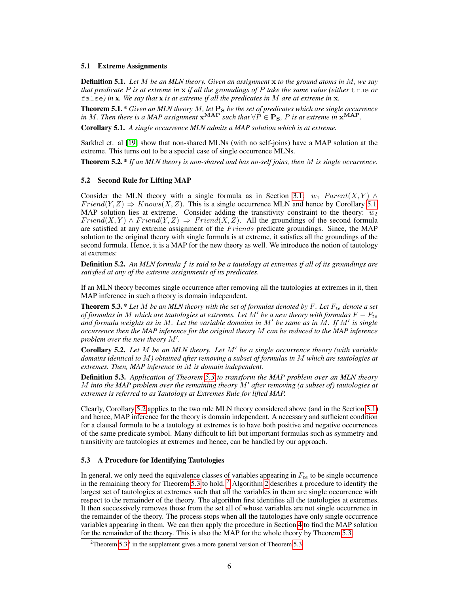#### 5.1 Extreme Assignments

Definition 5.1. *Let* M *be an MLN theory. Given an assignment* x *to the ground atoms in* M*, we say that predicate* P *is at extreme in* x *if all the groundings of* P *take the same value (either* true *or* false*) in* x*. We say that* x *is at extreme if all the predicates in* M *are at extreme in* x*.*

**Theorem 5.1.\*** *Given an MLN theory M, let*  $\mathbf{P_S}$  *be the set of predicates which are single occurrence in* M. Then there is a MAP assignment  $x^{MAP}$  such that  $\forall P \in \mathbf{P_S}$ , P is at extreme in  $x^{MAP}$ .

Corollary 5.1. *A single occurrence MLN admits a MAP solution which is at extreme.*

Sarkhel et. al [19] show that non-shared MLNs (with no self-joins) have a MAP solution at the extreme. This turns out to be a special case of single occurrence MLNs.

Theorem 5.2. \* *If an MLN theory is non-shared and has no-self joins, then* M *is single occurrence.*

#### 5.2 Second Rule for Lifting MAP

Consider the MLN theory with a single formula as in Section 3.1:  $w_1$  Parent(X, Y) ∧  $Friend(Y, Z) \Rightarrow Knows(X, Z)$ . This is a single occurrence MLN and hence by Corollary 5.1, MAP solution lies at extreme. Consider adding the transitivity constraint to the theory:  $w_2$  $Friend(X, Y) \wedge Friend(Y, Z) \Rightarrow Friend(X, Z)$ . All the groundings of the second formula are satisfied at any extreme assignment of the *Friends* predicate groundings. Since, the MAP solution to the original theory with single formula is at extreme, it satisfies all the groundings of the second formula. Hence, it is a MAP for the new theory as well. We introduce the notion of tautology at extremes:

Definition 5.2. *An MLN formula* f *is said to be a tautology at extremes if all of its groundings are satisfied at any of the extreme assignments of its predicates.*

If an MLN theory becomes single occurrence after removing all the tautologies at extremes in it, then MAP inference in such a theory is domain independent.

**Theorem 5.3.**  $*$  *Let*  $M$  *be an MLN theory with the set of formulas denoted by*  $F$ *. Let*  $F_{te}$  *denote a set of formulas in* M *which are tautologies at extremes. Let*  $M'$  *be a new theory with formulas*  $F - F_{te}$ *and formula weights as in M. Let the variable domains in M' be same as in M. If M' is single occurrence then the MAP inference for the original theory* M *can be reduced to the MAP inference* problem over the new theory  $M'$ .

**Corollary 5.2.** Let M be an MLN theory. Let M' be a single occurrence theory (with variable *domains identical to* M*) obtained after removing a subset of formulas in* M *which are tautologies at extremes. Then, MAP inference in* M *is domain independent.*

Definition 5.3. *Application of Theorem 5.3 to transform the MAP problem over an MLN theory* M *into the MAP problem over the remaining theory* M<sup>0</sup> *after removing (a subset of) tautologies at extremes is referred to as Tautology at Extremes Rule for lifted MAP.*

Clearly, Corollary 5.2 applies to the two rule MLN theory considered above (and in the Section 3.1) and hence, MAP inference for the theory is domain independent. A necessary and sufficient condition for a clausal formula to be a tautology at extremes is to have both positive and negative occurrences of the same predicate symbol. Many difficult to lift but important formulas such as symmetry and transitivity are tautologies at extremes and hence, can be handled by our approach.

#### 5.3 A Procedure for Identifying Tautologies

In general, we only need the equivalence classes of variables appearing in  $F_{te}$  to be single occurrence in the remaining theory for Theorem 5.3 to hold.  $2$  Algorithm 2 describes a procedure to identify the largest set of tautologies at extremes such that all the variables in them are single occurrence with respect to the remainder of the theory. The algorithm first identifies all the tautologies at extremes. It then successively removes those from the set all of whose variables are not single occurrence in the remainder of the theory. The process stops when all the tautologies have only single occurrence variables appearing in them. We can then apply the procedure in Section 4 to find the MAP solution for the remainder of the theory. This is also the MAP for the whole theory by Theorem 5.3.

<sup>&</sup>lt;sup>2</sup>Theorem 5.3<sup>g</sup> in the supplement gives a more general version of Theorem 5.3.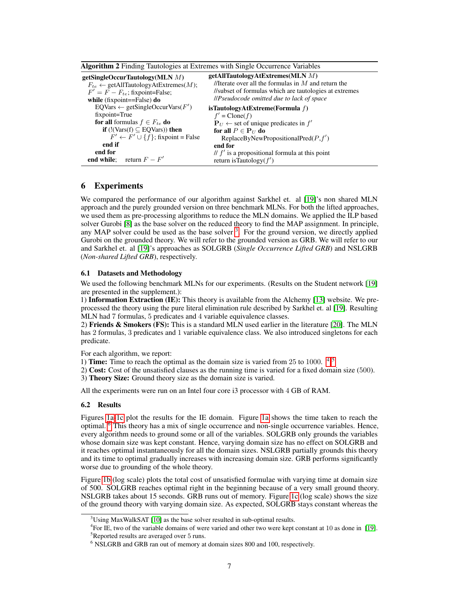| getSingleOccurTautology(MLN $M$ )<br>$F_{te} \leftarrow$ getAllTautologyAtExtremes(M);<br>$F' = F - F_{te}$ ; fixpoint=False;<br>while (fixpoint==False) $do$ | getAllTautologyAtExtremes(MLN M)<br>//Iterate over all the formulas in $M$ and return the<br>//subset of formulas which are tautologies at extremes<br><i>llPseudocode omitted due to lack of space</i> |
|---------------------------------------------------------------------------------------------------------------------------------------------------------------|---------------------------------------------------------------------------------------------------------------------------------------------------------------------------------------------------------|
| $EQVars \leftarrow getSingleOccurVars(F')$<br>fixpoint=True                                                                                                   | isTautologyAtExtreme(Formula $f$ )<br>$f' = \text{Clon}(f)$                                                                                                                                             |
| <b>for all</b> formulas $f \in F_{te}$ <b>do</b>                                                                                                              | ${\bf P}_U \leftarrow$ set of unique predicates in $f'$                                                                                                                                                 |
| <b>if</b> $(!(\text{Vars}(f) \subseteq \text{EQVars}))$ then                                                                                                  | for all $P \in \mathbf{P}_U$ do                                                                                                                                                                         |
| $F' \leftarrow F' \cup \{f\}$ ; fixpoint = False                                                                                                              | ReplaceByNewPropositionalPred $(P, f')$                                                                                                                                                                 |
| end if                                                                                                                                                        | end for                                                                                                                                                                                                 |
| end for<br><b>end while</b> ; return $F - F'$                                                                                                                 | // $f'$ is a propositional formula at this point<br>return is Tautology $(f')$                                                                                                                          |
|                                                                                                                                                               |                                                                                                                                                                                                         |

|  |  | Algorithm 2 Finding Tautologies at Extremes with Single Occurrence Variables |
|--|--|------------------------------------------------------------------------------|
|  |  |                                                                              |

# 6 Experiments

We compared the performance of our algorithm against Sarkhel et. al [19]'s non shared MLN approach and the purely grounded version on three benchmark MLNs. For both the lifted approaches, we used them as pre-processing algorithms to reduce the MLN domains. We applied the ILP based solver Gurobi [8] as the base solver on the reduced theory to find the MAP assignment. In principle, any MAP solver could be used as the base solver  $3$ . For the ground version, we directly applied Gurobi on the grounded theory. We will refer to the grounded version as GRB. We will refer to our and Sarkhel et. al [19]'s approaches as SOLGRB (*Single Occurrence Lifted GRB*) and NSLGRB (*Non-shared Lifted GRB*), respectively.

#### 6.1 Datasets and Methodology

We used the following benchmark MLNs for our experiments. (Results on the Student network [19] are presented in the supplement.):

1) Information Extraction (IE): This theory is available from the Alchemy [13] website. We preprocessed the theory using the pure literal elimination rule described by Sarkhel et. al [19]. Resulting MLN had 7 formulas, 5 predicates and 4 variable equivalence classes.

2) Friends  $\&$  Smokers (FS): This is a standard MLN used earlier in the literature [20]. The MLN has 2 formulas, 3 predicates and 1 variable equivalence class. We also introduced singletons for each predicate.

For each algorithm, we report:

1) Time: Time to reach the optimal as the domain size is varied from  $25$  to  $1000$ .  $4.5$ 

2) Cost: Cost of the unsatisfied clauses as the running time is varied for a fixed domain size (500).

3) Theory Size: Ground theory size as the domain size is varied.

All the experiments were run on an Intel four core i3 processor with 4 GB of RAM.

#### 6.2 Results

Figures 1a-1c plot the results for the IE domain. Figure 1a shows the time taken to reach the optimal. 6 This theory has a mix of single occurrence and non-single occurrence variables. Hence, every algorithm needs to ground some or all of the variables. SOLGRB only grounds the variables whose domain size was kept constant. Hence, varying domain size has no effect on SOLGRB and it reaches optimal instantaneously for all the domain sizes. NSLGRB partially grounds this theory and its time to optimal gradually increases with increasing domain size. GRB performs significantly worse due to grounding of the whole theory.

Figure 1b (log scale) plots the total cost of unsatisfied formulae with varying time at domain size of 500. SOLGRB reaches optimal right in the beginning because of a very small ground theory. NSLGRB takes about 15 seconds. GRB runs out of memory. Figure 1c (log scale) shows the size of the ground theory with varying domain size. As expected, SOLGRB stays constant whereas the

 $3U\sin g$  MaxWalkSAT [10] as the base solver resulted in sub-optimal results.

<sup>4</sup> For IE, two of the variable domains of were varied and other two were kept constant at 10 as done in [19].

<sup>5</sup>Reported results are averaged over 5 runs.

<sup>6</sup> NSLGRB and GRB ran out of memory at domain sizes 800 and 100, respectively.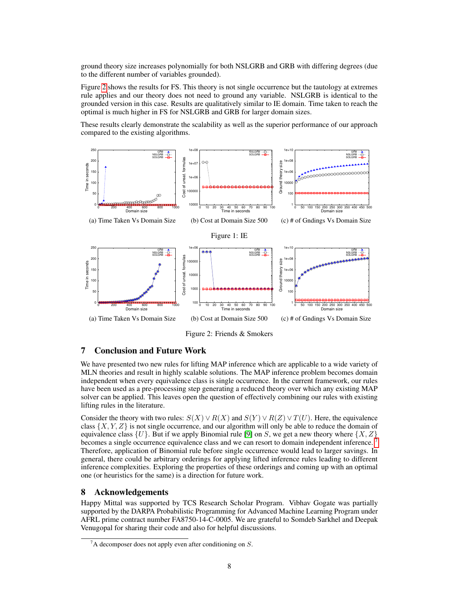ground theory size increases polynomially for both NSLGRB and GRB with differing degrees (due to the different number of variables grounded).

Figure 2 shows the results for FS. This theory is not single occurrence but the tautology at extremes rule applies and our theory does not need to ground any variable. NSLGRB is identical to the grounded version in this case. Results are qualitatively similar to IE domain. Time taken to reach the optimal is much higher in FS for NSLGRB and GRB for larger domain sizes.

These results clearly demonstrate the scalability as well as the superior performance of our approach compared to the existing algorithms.



Figure 2: Friends & Smokers

# 7 Conclusion and Future Work

We have presented two new rules for lifting MAP inference which are applicable to a wide variety of MLN theories and result in highly scalable solutions. The MAP inference problem becomes domain independent when every equivalence class is single occurrence. In the current framework, our rules have been used as a pre-processing step generating a reduced theory over which any existing MAP solver can be applied. This leaves open the question of effectively combining our rules with existing lifting rules in the literature.

Consider the theory with two rules:  $S(X) \vee R(X)$  and  $S(Y) \vee R(Z) \vee T(U)$ . Here, the equivalence class  $\{X, Y, Z\}$  is not single occurrence, and our algorithm will only be able to reduce the domain of equivalence class  $\{U\}$ . But if we apply Binomial rule [9] on S, we get a new theory where  $\{X, Z\}$ becomes a single occurrence equivalence class and we can resort to domain independent inference. 7 Therefore, application of Binomial rule before single occurrence would lead to larger savings. In general, there could be arbitrary orderings for applying lifted inference rules leading to different inference complexities. Exploring the properties of these orderings and coming up with an optimal one (or heuristics for the same) is a direction for future work.

## 8 Acknowledgements

Happy Mittal was supported by TCS Research Scholar Program. Vibhav Gogate was partially supported by the DARPA Probabilistic Programming for Advanced Machine Learning Program under AFRL prime contract number FA8750-14-C-0005. We are grateful to Somdeb Sarkhel and Deepak Venugopal for sharing their code and also for helpful discussions.

 $^7$ A decomposer does not apply even after conditioning on S.